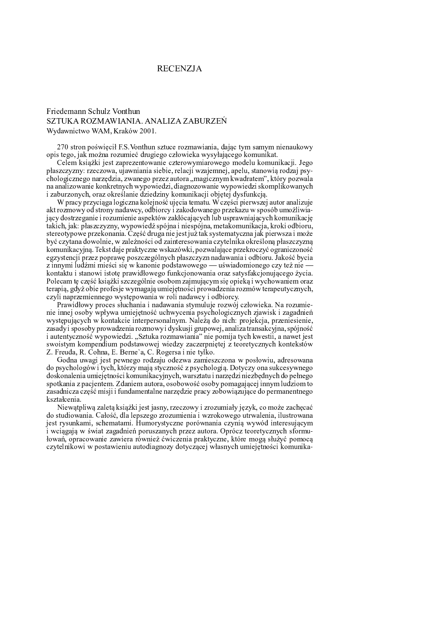## **RECENZJA**

## Friedemann Schulz Vonthun SZTUKA ROZMAWIANIA. ANALIZA ZABURZEŃ Wydawnictwo WAM, Kraków 2001.

270 stron poświęcił F.S. Vonthun sztuce rozmawiania, dając tym samym nienaukowy opis tego, jak można rozumieć drugiego człowieka wysyłającego komunikat.

Celem książki jest zaprezentowanie czterowymiarowego modelu komunikacji. Jego płaszczyzny: rzeczowa, ujawniania siebie, relacji wzajemnej, apelu, stanowia rodzaj psychologicznego narzędzia, zwanego przez autora "magicznym kwadratem", który pozwala na analizowanie konkretnych wypowiedzi, diagnozowanie wypowiedzi skomplikowanych i zaburzonych, oraz określanie dziedziny komunikacji objętej dysfunkcją.

W pracy przyciąga logiczna kolejność ujecia tematu. W części pierwszej autor analizuje akt rozmowy od strony nadawcy, odbiorcy i zakodowanego przekazu w sposób umożliwiający dostrzeganie i rozumienie aspektów zakłócających lub usprawniających komunikację takich, jak: płaszczyzny, wypowiedź spójna i niespójna, metakomunikacja, kroki odbioru, stereotypowe przekonania. Część druga nie jest już tak systematyczna jak pierwsza i może być czytana dowolnie, w zależności od zainteresowania czytelnika określoną płaszczyzną komunikacyjną. Tekst daje praktyczne wskazówki, pozwalające przekroczyć ograniczoność egzystencji przez poprawę poszczególnych płaszczyzn nadawania i odbioru. Jakość bycia z innymi ludźmi mieści się w kanonie podstawowego — uświadomionego czy też nie kontaktu i stanowi istotę prawidłowego funkcjonowania oraz satysfakcjonującego życia. Polecam te część książki szczególnie osobom zajmującym się opieką i wychowaniem oraz terapią, gdyż obie profesje wymagają umiejętności prowadzenia rozmów terapeutycznych, czyli naprzemiennego występowania w roli nadawcy i odbiorcy.

Prawidłowy proces słuchania i nadawania stymuluje rozwój człowieka. Na rozumienie innej osoby wpływa umiejętność uchwycenia psychologicznych zjawisk i zagadnień występujących w kontakcie interpersonalnym. Należą do nich: projekcja, przeniesienie, zasady i sposoby prowadzenia rozmowy i dyskusji grupowej, analiza transakcyjna, spójność i autentyczność wypowiedzi. "Sztuka rozmawiania" nie pomija tych kwestii, a nawet jest swoistym kompendium podstawowej wiedzy zaczerpniętej z teoretycznych kontekstów Z. Freuda, R. Cohna, E. Berne'a, C. Rogersa i nie tylko.

Godna uwagi jest pewnego rodzaju odezwa zamieszczona w posłowiu, adresowana do psychologów i tych, którzy mają styczność z psychologią. Dotyczy ona sukcesywnego doskonalenia umiejętności komunikacyjnych, warsztatu i narzędzi niezbędnych do pełnego spotkania z pacientem. Zdaniem autora, osobowość osoby pomagającej innym ludziom to zasadnicza część misji i fundamentalne narzędzie pracy zobowiązujące do permanentnego kształcenia.

Niewątpliwą zaletą książki jest jasny, rzeczowy i zrozumiały język, co może zachęcać do studiowania. Całość, dla lepszego zrozumienia i wzrokowego utrwalenia, ilustrowana jest rysunkami, schematami. Humorystyczne porównania czynią wywód interesującym i wciągają w świat zagadnień poruszanych przez autora. Oprócz teoretycznych sformułowań, opracowanie zawiera również ćwiczenia praktyczne, które mogą służyć pomocą czytelnikowi w postawieniu autodiagnozy dotyczącej własnych umiejętności komunika